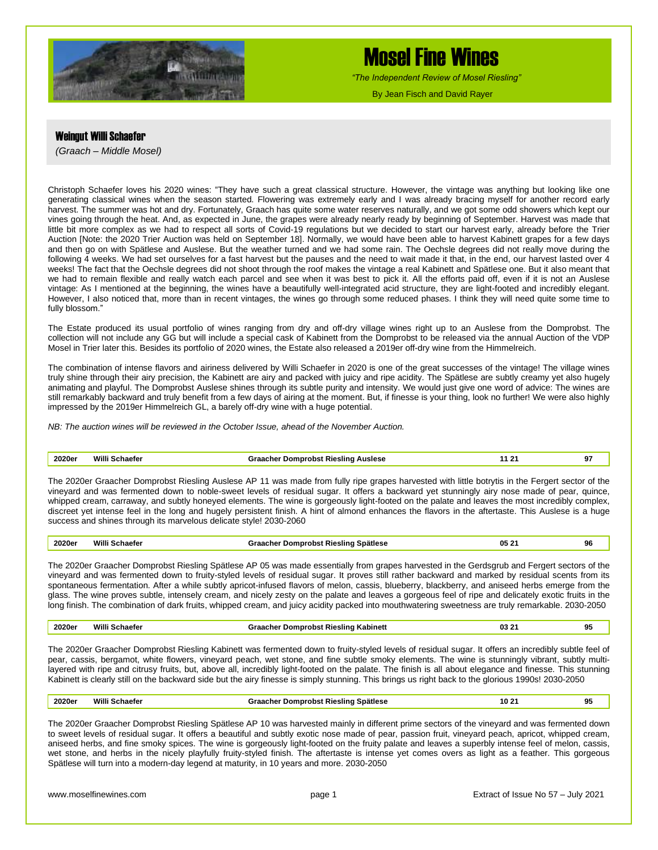

# Mosel Fine Wines

*"The Independent Review of Mosel Riesling"*

By Jean Fisch and David Rayer

### Weingut Willi Schaefer

*(Graach – Middle Mosel)*

Christoph Schaefer loves his 2020 wines: "They have such a great classical structure. However, the vintage was anything but looking like one generating classical wines when the season started. Flowering was extremely early and I was already bracing myself for another record early harvest. The summer was hot and dry. Fortunately, Graach has quite some water reserves naturally, and we got some odd showers which kept our vines going through the heat. And, as expected in June, the grapes were already nearly ready by beginning of September. Harvest was made that little bit more complex as we had to respect all sorts of Covid-19 regulations but we decided to start our harvest early, already before the Trier Auction [Note: the 2020 Trier Auction was held on September 18]. Normally, we would have been able to harvest Kabinett grapes for a few days and then go on with Spätlese and Auslese. But the weather turned and we had some rain. The Oechsle degrees did not really move during the following 4 weeks. We had set ourselves for a fast harvest but the pauses and the need to wait made it that, in the end, our harvest lasted over 4 weeks! The fact that the Oechsle degrees did not shoot through the roof makes the vintage a real Kabinett and Spätlese one. But it also meant that we had to remain flexible and really watch each parcel and see when it was best to pick it. All the efforts paid off, even if it is not an Auslese vintage: As I mentioned at the beginning, the wines have a beautifully well-integrated acid structure, they are light-footed and incredibly elegant. However, I also noticed that, more than in recent vintages, the wines go through some reduced phases. I think they will need quite some time to fully blossom."

The Estate produced its usual portfolio of wines ranging from dry and off-dry village wines right up to an Auslese from the Domprobst. The collection will not include any GG but will include a special cask of Kabinett from the Domprobst to be released via the annual Auction of the VDP Mosel in Trier later this. Besides its portfolio of 2020 wines, the Estate also released a 2019er off-dry wine from the Himmelreich.

The combination of intense flavors and airiness delivered by Willi Schaefer in 2020 is one of the great successes of the vintage! The village wines truly shine through their airy precision, the Kabinett are airy and packed with juicy and ripe acidity. The Spätlese are subtly creamy yet also hugely animating and playful. The Domprobst Auslese shines through its subtle purity and intensity. We would just give one word of advice: The wines are still remarkably backward and truly benefit from a few days of airing at the moment. But, if finesse is your thing, look no further! We were also highly impressed by the 2019er Himmelreich GL, a barely off-dry wine with a huge potential.

*NB: The auction wines will be reviewed in the October Issue, ahead of the November Auction.*

#### **2020er Willi Schaefer Graacher Domprobst Riesling Auslese 11 21 97**

The 2020er Graacher Domprobst Riesling Auslese AP 11 was made from fully ripe grapes harvested with little botrytis in the Fergert sector of the vineyard and was fermented down to noble-sweet levels of residual sugar. It offers a backward yet stunningly airy nose made of pear, quince, whipped cream, carraway, and subtly honeyed elements. The wine is gorgeously light-footed on the palate and leaves the most incredibly complex, discreet yet intense feel in the long and hugely persistent finish. A hint of almond enhances the flavors in the aftertaste. This Auslese is a huge success and shines through its marvelous delicate style! 2030-2060

| 2020er | Willi Schaefer | Graacher Domprobst Riesling Spätlese | 05 21 | 96 |
|--------|----------------|--------------------------------------|-------|----|
|--------|----------------|--------------------------------------|-------|----|

The 2020er Graacher Domprobst Riesling Spätlese AP 05 was made essentially from grapes harvested in the Gerdsgrub and Fergert sectors of the vineyard and was fermented down to fruity-styled levels of residual sugar. It proves still rather backward and marked by residual scents from its spontaneous fermentation. After a while subtly apricot-infused flavors of melon, cassis, blueberry, blackberry, and aniseed herbs emerge from the glass. The wine proves subtle, intensely cream, and nicely zesty on the palate and leaves a gorgeous feel of ripe and delicately exotic fruits in the long finish. The combination of dark fruits, whipped cream, and juicy acidity packed into mouthwatering sweetness are truly remarkable. 2030-2050

| <b>2020er</b><br>. | Will.<br>$\begin{array}{cccccccccccccc} \multicolumn{4}{c}{} & \multicolumn{4}{c}{} & \multicolumn{4}{c}{} & \multicolumn{4}{c}{} & \multicolumn{4}{c}{} & \multicolumn{4}{c}{} & \multicolumn{4}{c}{} & \multicolumn{4}{c}{} & \multicolumn{4}{c}{} & \multicolumn{4}{c}{} & \multicolumn{4}{c}{} & \multicolumn{4}{c}{} & \multicolumn{4}{c}{} & \multicolumn{4}{c}{} & \multicolumn{4}{c}{} & \multicolumn{4}{c}{} & \multicolumn{4}{c}{} & \multicolumn{4}{c}{} & \multicolumn{4}{c}{} & \$ | Rieslind<br><b>Kabinet</b><br>l Jomr<br>cne<br>™ons. | …<br>.<br>u.<br>$\sim$ $\sim$ | 95 |
|--------------------|-------------------------------------------------------------------------------------------------------------------------------------------------------------------------------------------------------------------------------------------------------------------------------------------------------------------------------------------------------------------------------------------------------------------------------------------------------------------------------------------------|------------------------------------------------------|-------------------------------|----|
|                    |                                                                                                                                                                                                                                                                                                                                                                                                                                                                                                 |                                                      |                               |    |

The 2020er Graacher Domprobst Riesling Kabinett was fermented down to fruity-styled levels of residual sugar. It offers an incredibly subtle feel of pear, cassis, bergamot, white flowers, vineyard peach, wet stone, and fine subtle smoky elements. The wine is stunningly vibrant, subtly multilayered with ripe and citrusy fruits, but, above all, incredibly light-footed on the palate. The finish is all about elegance and finesse. This stunning Kabinett is clearly still on the backward side but the airy finesse is simply stunning. This brings us right back to the glorious 1990s! 2030-2050

| 2020er | Villi<br>Schaefer | <b>Spätlese</b><br>Domprobst Riesling<br>Graacner<br>. | $\sim$ and<br>10 | 95 |  |
|--------|-------------------|--------------------------------------------------------|------------------|----|--|
|--------|-------------------|--------------------------------------------------------|------------------|----|--|

The 2020er Graacher Domprobst Riesling Spätlese AP 10 was harvested mainly in different prime sectors of the vineyard and was fermented down to sweet levels of residual sugar. It offers a beautiful and subtly exotic nose made of pear, passion fruit, vineyard peach, apricot, whipped cream, aniseed herbs, and fine smoky spices. The wine is gorgeously light-footed on the fruity palate and leaves a superbly intense feel of melon, cassis, wet stone, and herbs in the nicely playfully fruity-styled finish. The aftertaste is intense yet comes overs as light as a feather. This gorgeous Spätlese will turn into a modern-day legend at maturity, in 10 years and more. 2030-2050